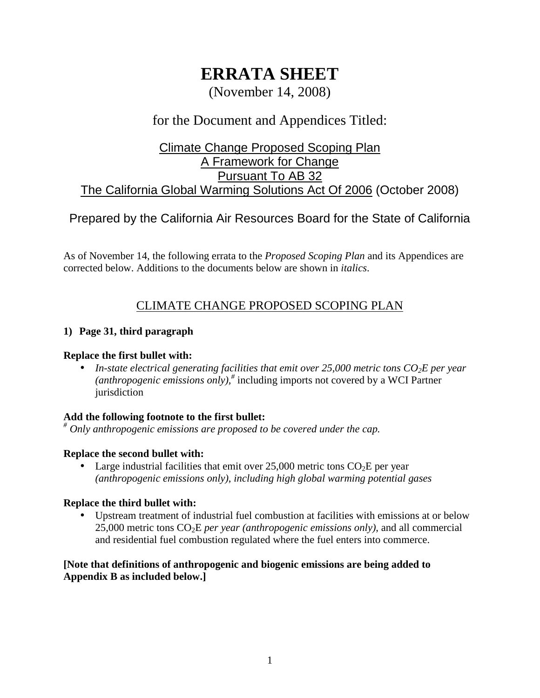# **ERRATA SHEET**

(November 14, 2008)

# for the Document and Appendices Titled:

# Climate Change Proposed Scoping Plan A Framework for Change Pursuant To AB 32 The California Global Warming Solutions Act Of 2006 (October 2008)

# Prepared by the California Air Resources Board for the State of California

 As of November 14, the following errata to the *Proposed Scoping Plan* and its Appendices are corrected below. Additions to the documents below are shown in *italics*.

# CLIMATE CHANGE PROPOSED SCOPING PLAN

### **1) Page 31, third paragraph**

### **Replace the first bullet with:**

• In-state electrical generating facilities that emit over 25,000 metric tons  $CO<sub>2</sub>E$  per year  *(anthropogenic emissions only),#* including imports not covered by a WCI Partner jurisdiction

# **Add the following footnote to the first bullet:**

 *# Only anthropogenic emissions are proposed to be covered under the cap.* 

### **Replace the second bullet with:**

• Large industrial facilities that emit over  $25,000$  metric tons  $CO<sub>2</sub>E$  per year  *(anthropogenic emissions only)*, *including high global warming potential gases* 

### **Replace the third bullet with:**

 • Upstream treatment of industrial fuel combustion at facilities with emissions at or below 25,000 metric tons CO2E *per year (anthropogenic emissions only)*, and all commercial and residential fuel combustion regulated where the fuel enters into commerce.

### **[Note that definitions of anthropogenic and biogenic emissions are being added to Appendix B as included below.]**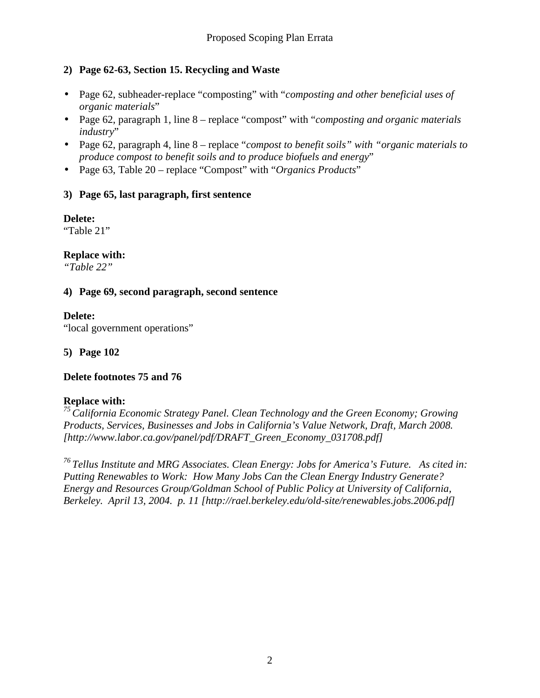# **2) Page 62-63, Section 15. Recycling and Waste**

- • Page 62, subheader-replace "composting" with "*composting and other beneficial uses of organic materials*"
- • Page 62, paragraph 1, line 8 replace "compost" with "*composting and organic materials industry*"
- • Page 62, paragraph 4, line 8 replace "*compost to benefit soils" with "organic materials to produce compost to benefit soils and to produce biofuels and energy*"
- Page 63, Table 20 replace "Compost" with "*Organics Products*"

### **3) Page 65, last paragraph, first sentence**

### **Delete:**

"Table 21"

# **Replace with:**

*"Table 22"* 

### **4) Page 69, second paragraph, second sentence**

# **Delete:**

"local government operations"

 **5) Page 102** 

# **Delete footnotes 75 and 76**

# **Replace with:**

<sup>75</sup> California Economic Strategy Panel. Clean Technology and the Green Economy; Growing  *Products, Services, Businesses and Jobs in California's Value Network, Draft, March 2008. [[http://www.labor.ca.gov/panel/pdf/DRAFT\\_Green\\_Economy\\_031708.pdf\]](http://www.labor.ca.gov/panel/pdf/DRAFT_Green_Economy_031708.pdf)* 

 *76 Tellus Institute and MRG Associates. Clean Energy: Jobs for America's Future. As cited in: Putting Renewables to Work: How Many Jobs Can the Clean Energy Industry Generate? Energy and Resources Group/Goldman School of Public Policy at University of California, Berkeley. April 13, 2004. p. 11 [\[http://rael.berkeley.edu/old-site/renewables.jobs.2006.pdf\]](http://rael.berkeley.edu/old-site/renewables.jobs.2006.pdf)*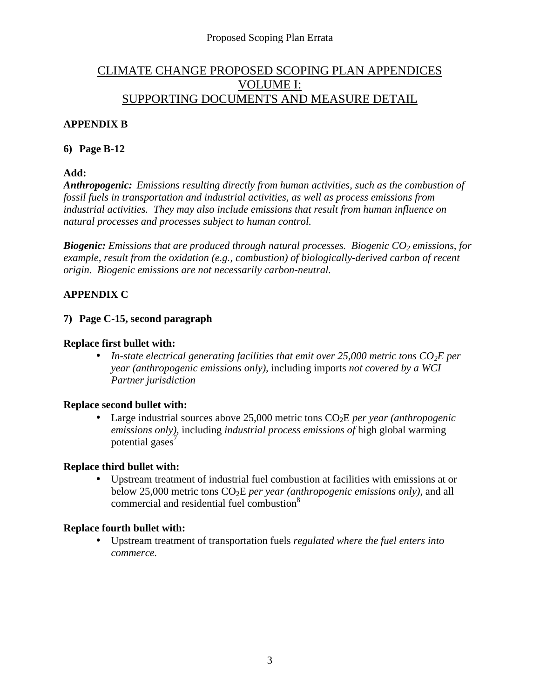# CLIMATE CHANGE PROPOSED SCOPING PLAN APPENDICES VOLUME I: SUPPORTING DOCUMENTS AND MEASURE DETAIL

# **APPENDIX B**

### **6) Page B-12**

 **Add:** 

 *Anthropogenic: Emissions resulting directly from human activities, such as the combustion of fossil fuels in transportation and industrial activities, as well as process emissions from industrial activities. They may also include emissions that result from human influence on natural processes and processes subject to human control.* 

**Biogenic:** Emissions that are produced through natural processes. Biogenic CO<sub>2</sub> emissions, for  *example, result from the oxidation (e.g., combustion) of biologically-derived carbon of recent origin. Biogenic emissions are not necessarily carbon-neutral.* 

# **APPENDIX C**

### **7) Page C-15, second paragraph**

### **Replace first bullet with:**

• In-state electrical generating facilities that emit over 25,000 metric tons  $CO_2E$  per  *year (anthropogenic emissions only),* including imports *not covered by a WCI Partner jurisdiction* 

### **Replace second bullet with:**

• Large industrial sources above 25,000 metric tons CO<sub>2</sub>E *per year (anthropogenic emissions only),* including *industrial process emissions of* high global warming potential gases $\overline{7}$ 

### **Replace third bullet with:**

 • Upstream treatment of industrial fuel combustion at facilities with emissions at or below 25,000 metric tons CO2E *per year (anthropogenic emissions only),* and all commercial and residential fuel combustion<sup>8</sup>

# **Replace fourth bullet with:**

 • Upstream treatment of transportation fuels *regulated where the fuel enters into commerce.*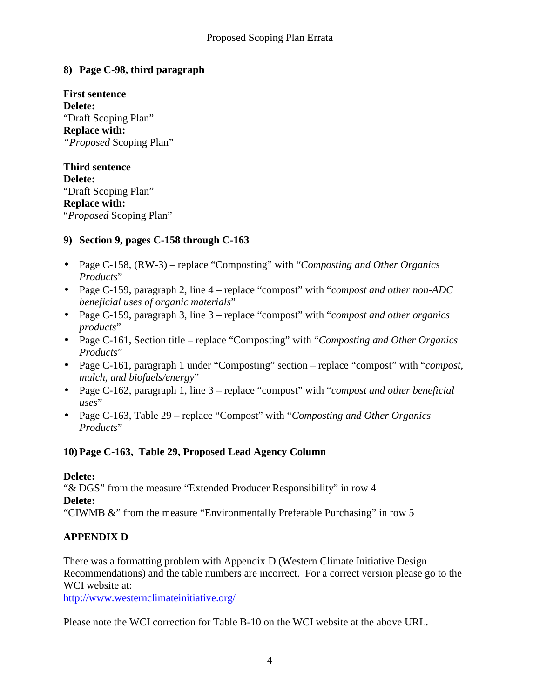# **8) Page C-98, third paragraph**

 **First sentence**  "Draft Scoping Plan"  **Replace with:**  *"Proposed* Scoping Plan" **Delete:** 

 **Third sentence**  "Draft Scoping Plan"  **Replace with:**  "*Proposed* Scoping Plan" **Delete:** 

# **9) Section 9, pages C-158 through C-163**

- • Page C-158, (RW-3) replace "Composting" with "*Composting and Other Organics Products*"
- • Page C-159, paragraph 2, line 4 replace "compost" with "*compost and other non-ADC beneficial uses of organic materials*"
- • Page C-159, paragraph 3, line 3 replace "compost" with "*compost and other organics products*"
- • Page C-161, Section title replace "Composting" with "*Composting and Other Organics Products*"
- • Page C-161, paragraph 1 under "Composting" section replace "compost" with "*compost, mulch, and biofuels/energy*"
- • Page C-162, paragraph 1, line 3 replace "compost" with "*compost and other beneficial uses*"
- • Page C-163, Table 29 replace "Compost" with "*Composting and Other Organics Products*"

# **10) Page C-163, Table 29, Proposed Lead Agency Column**

### **Delete:**

 "& DGS" from the measure "Extended Producer Responsibility" in row 4 "CIWMB &" from the measure "Environmentally Preferable Purchasing" in row 5 **Delete:** 

# **APPENDIX D**

 There was a formatting problem with Appendix D (Western Climate Initiative Design Recommendations) and the table numbers are incorrect. For a correct version please go to the WCI website at:

[http://www.westernclimateinitiative.org/](http://www.westernclimateinitiative.org)

Please note the WCI correction for Table B-10 on the WCI website at the above URL.